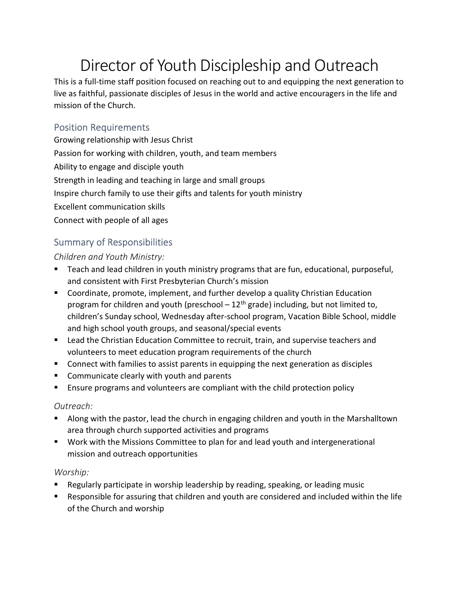# Director of Youth Discipleship and Outreach

This is a full-time staff position focused on reaching out to and equipping the next generation to live as faithful, passionate disciples of Jesus in the world and active encouragers in the life and mission of the Church.

## Position Requirements

Growing relationship with Jesus Christ Passion for working with children, youth, and team members Ability to engage and disciple youth Strength in leading and teaching in large and small groups Inspire church family to use their gifts and talents for youth ministry Excellent communication skills Connect with people of all ages

## Summary of Responsibilities

Children and Youth Ministry:

- Teach and lead children in youth ministry programs that are fun, educational, purposeful, and consistent with First Presbyterian Church's mission
- Coordinate, promote, implement, and further develop a quality Christian Education program for children and youth (preschool  $-12<sup>th</sup>$  grade) including, but not limited to, children's Sunday school, Wednesday after-school program, Vacation Bible School, middle and high school youth groups, and seasonal/special events
- Lead the Christian Education Committee to recruit, train, and supervise teachers and volunteers to meet education program requirements of the church
- Connect with families to assist parents in equipping the next generation as disciples
- Communicate clearly with youth and parents
- Ensure programs and volunteers are compliant with the child protection policy

#### Outreach:

- Along with the pastor, lead the church in engaging children and youth in the Marshalltown area through church supported activities and programs
- Work with the Missions Committee to plan for and lead youth and intergenerational mission and outreach opportunities

#### Worship:

- Regularly participate in worship leadership by reading, speaking, or leading music
- Responsible for assuring that children and youth are considered and included within the life of the Church and worship